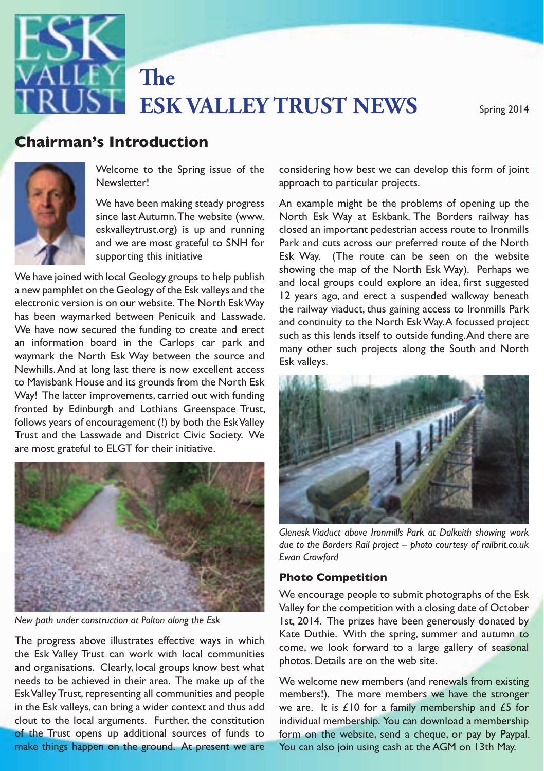

# **ESK VALLEY TRUST NEWS** Spring 2014 **The**

### autumn 2013 - 2013 - 2013 - 2013 - 2013 - 2013 - 2014 - 2014 - 2014 - 2014 - 2014 - 2014 - 2014 - 2014 - 2014<br>Dividio de la contrada de la contrada de la contrada de la contrada de la contrada de la contrada de la contra **Chairman's Introduction**



Welcome to the Spring issue of the **Newsletter!** 

 $\frac{1}{\sqrt{2}}$  eskvalleytrust.org) is up and running<br>end we are most created to SNH for We have been making steady progress since last Autumn. The website (www. and we are most grateful to SNH for supporting this initiative

a new pamphlet on the Geology of the Esk valleys and the and beam groups code explore and Way that K the TVOI the ESK YVay between the source and<br>Newhills. And at long last there is now excellent access follows years of encouragement (!) by both the Esk Valley We have joined with local Geology groups to help publish electronic version is on our website. The North Esk Way has been waymarked between Penicuik and Lasswade. We have now secured the funding to create and erect an information board in the Carlops car park and waymark the North Esk Way between the source and Way! The latter improvements, carried out with funding Trust and the Lasswade and District Civic Society. We



*New path under construction at Polton along the Esk*

and organisations. Clearly, local groups know best what Esk Valley Trust, representing all communities and people kanembers!). The moing that and the soll and the moi<br>Discription of the members! make things happen on the ground. At present we are the Esk Valley Trust can work with local communities needs to be achieved in their area. The make up of the in the Esk valleys, can bring a wider context and thus add clout to the local arguments. Further, the constitution of the Trust opens up additional sources of funds to

considering how best we can develop this form of joint approach to particular projects.

We have joined with local Geology groups to help publish showing the map of the North Esk Way). Perhaps we been way halved between I enicul and Lasswade.<br>have now secured the funding to create and erect nation board in the Carlops car park and<br>the plant, Eth Min between the carrier and many other such projects along the South and North An example might be the problems of opening up the North Esk Way at Eskbank. The Borders railway has closed an important pedestrian access route to Ironmills Park and cuts across our preferred route of the North Esk Way. (The route can be seen on the website and local groups could explore an idea, first suggested 12 years ago, and erect a suspended walkway beneath the railway viaduct, thus gaining access to Ironmills Park such as this lends itself to outside funding. And there are Esk valleys.



*due to the Borders Rail project – photo courtesy of railbrit.co.uk Ewan Crawford*

#### **Photo Competition**

New path under construction at Polton along the Esk **Fig. 2014**. The prizes have been generously donated by The progress above illustrates effective ways in which<br>
come we look forward to a large gallery of seasonal We encourage people to submit photographs of the Esk Valley for the competition with a closing date of October Kate Duthie. With the spring, summer and autumn to come, we look forward to a large gallery of seasonal photos. Details are on the web site.

e Est valleys, can bring a wider concext and thus due the area. The is 210 for a family inembership and 25 for<br>t to the local arguments. Further, the constitution individual membership. You can download a membership ust opens up additional sources of funds to form on the website, send a cheque, or pay by Paypal. We welcome new members (and renewals from existing members!). The more members we have the stronger we are. It is £10 for a family membership and £5 for You can also join using cash at the AGM on 13th May.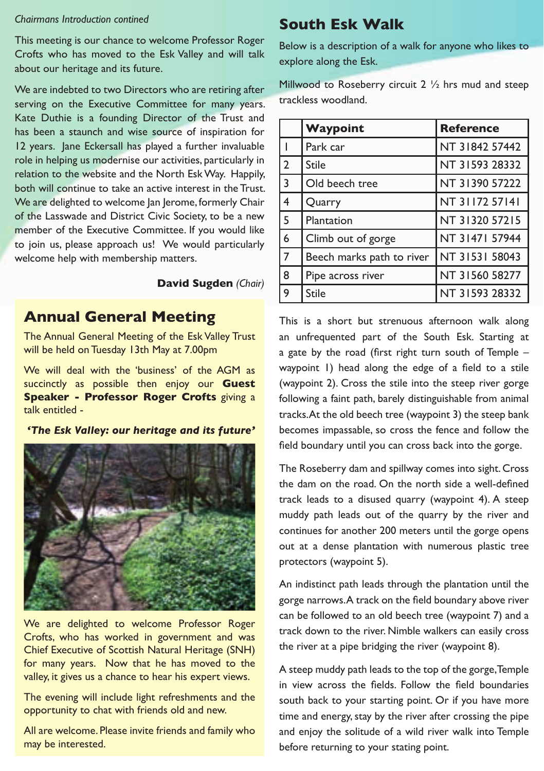#### *Chairmans Introduction contined*

This meeting is our chance to welcome Professor Roger Crofts who has moved to the Esk Valley and will talk about our heritage and its future.

We are indebted to two Directors who are retiring after serving on the Executive Committee for many years. Kate Duthie is a founding Director of the Trust and has been a staunch and wise source of inspiration for 12 years. Jane Eckersall has played a further invaluable role in helping us modernise our activities, particularly in relation to the website and the North Esk Way. Happily, both will continue to take an active interest in the Trust. We are delighted to welcome Jan Jerome, formerly Chair of the Lasswade and District Civic Society, to be a new member of the Executive Committee. If you would like to join us, please approach us! We would particularly welcome help with membership matters.

#### **David Sugden** *(Chair)*

### **Annual General Meeting**

The Annual General Meeting of the Esk Valley Trust will be held on Tuesday 13th May at 7.00pm

We will deal with the 'business' of the AGM as succinctly as possible then enjoy our **Guest Speaker - Professor Roger Crofts** giving a talk entitled -

#### *'The Esk Valley: our heritage and its future'*



We are delighted to welcome Professor Roger Crofts, who has worked in government and was Chief Executive of Scottish Natural Heritage (SNH) for many years. Now that he has moved to the valley, it gives us a chance to hear his expert views.

The evening will include light refreshments and the opportunity to chat with friends old and new.

All are welcome. Please invite friends and family who may be interested.

# **South Esk Walk**

Below is a description of a walk for anyone who likes to explore along the Esk.

Millwood to Roseberry circuit 2 1/2 hrs mud and steep trackless woodland.

|                | Waypoint                  | <b>Reference</b> |
|----------------|---------------------------|------------------|
|                | Park car                  | NT 31842 57442   |
| $\overline{2}$ | <b>Stile</b>              | NT 31593 28332   |
| 3              | Old beech tree            | NT 31390 57222   |
| 4              | Quarry                    | NT 31172 57141   |
| 5              | Plantation                | NT 31320 57215   |
| 6              | Climb out of gorge        | NT 31471 57944   |
| $\overline{7}$ | Beech marks path to river | NT 31531 58043   |
| 8              | Pipe across river         | NT 31560 58277   |
| 9              | <b>Stile</b>              | NT 31593 28332   |

This is a short but strenuous afternoon walk along an unfrequented part of the South Esk. Starting at a gate by the road (first right turn south of Temple – waypoint 1) head along the edge of a field to a stile (waypoint 2). Cross the stile into the steep river gorge following a faint path, barely distinguishable from animal tracks. At the old beech tree (waypoint 3) the steep bank becomes impassable, so cross the fence and follow the field boundary until you can cross back into the gorge.

The Roseberry dam and spillway comes into sight. Cross the dam on the road. On the north side a well-defined track leads to a disused quarry (waypoint 4). A steep muddy path leads out of the quarry by the river and continues for another 200 meters until the gorge opens out at a dense plantation with numerous plastic tree protectors (waypoint 5).

An indistinct path leads through the plantation until the gorge narrows. A track on the field boundary above river can be followed to an old beech tree (waypoint 7) and a track down to the river. Nimble walkers can easily cross the river at a pipe bridging the river (waypoint 8).

A steep muddy path leads to the top of the gorge, Temple in view across the fields. Follow the field boundaries south back to your starting point. Or if you have more time and energy, stay by the river after crossing the pipe and enjoy the solitude of a wild river walk into Temple before returning to your stating point.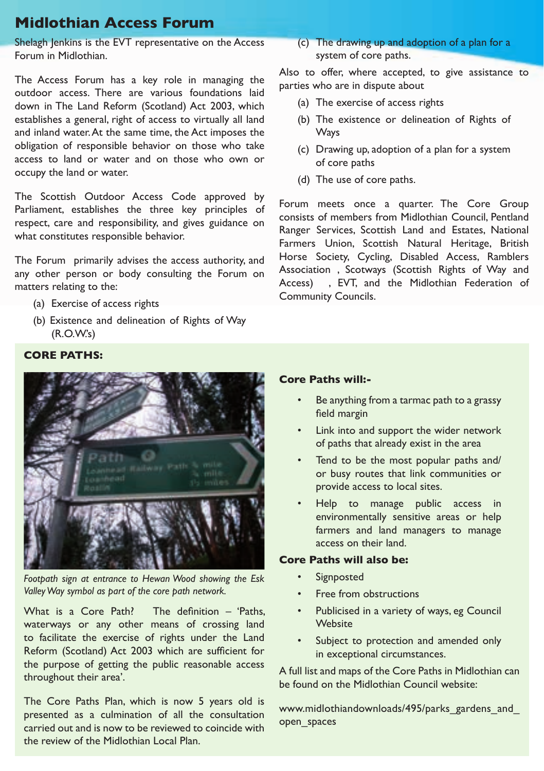# **Midlothian Access Forum**

Shelagh Jenkins is the EVT representative on the Access Forum in Midlothian.

The Access Forum has a key role in managing the outdoor access. There are various foundations laid down in The Land Reform (Scotland) Act 2003, which establishes a general, right of access to virtually all land and inland water. At the same time, the Act imposes the obligation of responsible behavior on those who take access to land or water and on those who own or occupy the land or water.

The Scottish Outdoor Access Code approved by Parliament, establishes the three key principles of respect, care and responsibility, and gives guidance on what constitutes responsible behavior.

The Forum primarily advises the access authority, and any other person or body consulting the Forum on matters relating to the:

- (a) Exercise of access rights
- (b) Existence and delineation of Rights of Way (R.O.W.'s)

(c) The drawing up and adoption of a plan for a system of core paths.

Also to offer, where accepted, to give assistance to parties who are in dispute about

- (a) The exercise of access rights
- (b) The existence or delineation of Rights of **Ways**
- (c) Drawing up, adoption of a plan for a system of core paths
- (d) The use of core paths.

Forum meets once a quarter. The Core Group consists of members from Midlothian Council, Pentland Ranger Services, Scottish Land and Estates, National Farmers Union, Scottish Natural Heritage, British Horse Society, Cycling, Disabled Access, Ramblers Association , Scotways (Scottish Rights of Way and Access) , EVT, and the Midlothian Federation of Community Councils.

#### **CORE PATHS:**



*Footpath sign at entrance to Hewan Wood showing the Esk Valley Way symbol as part of the core path network.*

What is a Core Path? The definition – 'Paths, waterways or any other means of crossing land to facilitate the exercise of rights under the Land Reform (Scotland) Act 2003 which are sufficient for the purpose of getting the public reasonable access throughout their area'.

The Core Paths Plan, which is now 5 years old is presented as a culmination of all the consultation carried out and is now to be reviewed to coincide with the review of the Midlothian Local Plan.

#### **Core Paths will:-**

- Be anything from a tarmac path to a grassy field margin
- Link into and support the wider network of paths that already exist in the area
- Tend to be the most popular paths and/ or busy routes that link communities or provide access to local sites.
- Help to manage public access in environmentally sensitive areas or help farmers and land managers to manage access on their land.

#### **Core Paths will also be:**

- Signposted
- Free from obstructions
- Publicised in a variety of ways, eg Council Website
- Subject to protection and amended only in exceptional circumstances.

A full list and maps of the Core Paths in Midlothian can be found on the Midlothian Council website:

www.midlothiandownloads/495/parks\_gardens\_and open\_spaces